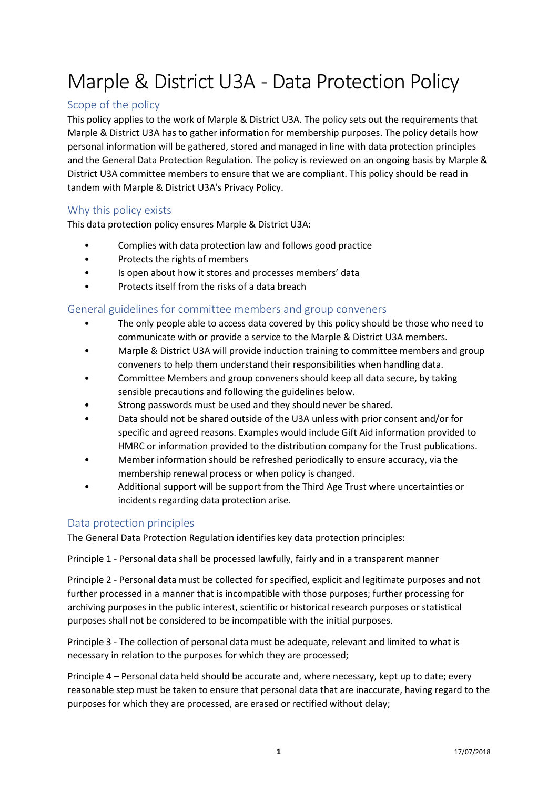# Marple & District U3A - Data Protection Policy

# Scope of the policy

This policy applies to the work of Marple & District U3A. The policy sets out the requirements that Marple & District U3A has to gather information for membership purposes. The policy details how personal information will be gathered, stored and managed in line with data protection principles and the General Data Protection Regulation. The policy is reviewed on an ongoing basis by Marple & District U3A committee members to ensure that we are compliant. This policy should be read in tandem with Marple & District U3A's Privacy Policy.

## Why this policy exists

This data protection policy ensures Marple & District U3A:

- Complies with data protection law and follows good practice
- Protects the rights of members
- Is open about how it stores and processes members' data
- Protects itself from the risks of a data breach

#### General guidelines for committee members and group conveners

- The only people able to access data covered by this policy should be those who need to communicate with or provide a service to the Marple & District U3A members.
- Marple & District U3A will provide induction training to committee members and group conveners to help them understand their responsibilities when handling data.
- Committee Members and group conveners should keep all data secure, by taking sensible precautions and following the guidelines below.
- Strong passwords must be used and they should never be shared.
- Data should not be shared outside of the U3A unless with prior consent and/or for specific and agreed reasons. Examples would include Gift Aid information provided to HMRC or information provided to the distribution company for the Trust publications.
- Member information should be refreshed periodically to ensure accuracy, via the membership renewal process or when policy is changed.
- Additional support will be support from the Third Age Trust where uncertainties or incidents regarding data protection arise.

#### Data protection principles

The General Data Protection Regulation identifies key data protection principles:

Principle 1 - Personal data shall be processed lawfully, fairly and in a transparent manner

Principle 2 - Personal data must be collected for specified, explicit and legitimate purposes and not further processed in a manner that is incompatible with those purposes; further processing for archiving purposes in the public interest, scientific or historical research purposes or statistical purposes shall not be considered to be incompatible with the initial purposes.

Principle 3 - The collection of personal data must be adequate, relevant and limited to what is necessary in relation to the purposes for which they are processed;

Principle 4 – Personal data held should be accurate and, where necessary, kept up to date; every reasonable step must be taken to ensure that personal data that are inaccurate, having regard to the purposes for which they are processed, are erased or rectified without delay;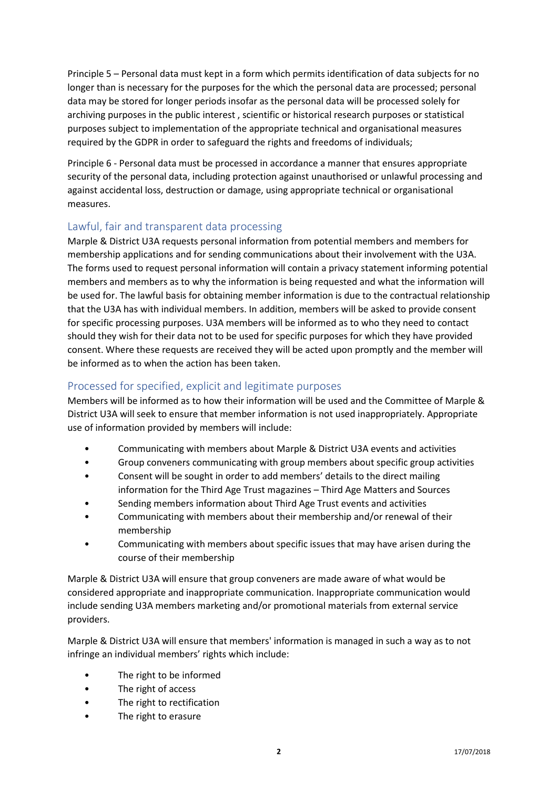Principle 5 – Personal data must kept in a form which permits identification of data subjects for no longer than is necessary for the purposes for the which the personal data are processed; personal data may be stored for longer periods insofar as the personal data will be processed solely for archiving purposes in the public interest , scientific or historical research purposes or statistical purposes subject to implementation of the appropriate technical and organisational measures required by the GDPR in order to safeguard the rights and freedoms of individuals;

Principle 6 - Personal data must be processed in accordance a manner that ensures appropriate security of the personal data, including protection against unauthorised or unlawful processing and against accidental loss, destruction or damage, using appropriate technical or organisational measures.

# Lawful, fair and transparent data processing

Marple & District U3A requests personal information from potential members and members for membership applications and for sending communications about their involvement with the U3A. The forms used to request personal information will contain a privacy statement informing potential members and members as to why the information is being requested and what the information will be used for. The lawful basis for obtaining member information is due to the contractual relationship that the U3A has with individual members. In addition, members will be asked to provide consent for specific processing purposes. U3A members will be informed as to who they need to contact should they wish for their data not to be used for specific purposes for which they have provided consent. Where these requests are received they will be acted upon promptly and the member will be informed as to when the action has been taken.

# Processed for specified, explicit and legitimate purposes

Members will be informed as to how their information will be used and the Committee of Marple & District U3A will seek to ensure that member information is not used inappropriately. Appropriate use of information provided by members will include:

- Communicating with members about Marple & District U3A events and activities
- Group conveners communicating with group members about specific group activities
- Consent will be sought in order to add members' details to the direct mailing information for the Third Age Trust magazines – Third Age Matters and Sources
- Sending members information about Third Age Trust events and activities
- Communicating with members about their membership and/or renewal of their membership
- Communicating with members about specific issues that may have arisen during the course of their membership

Marple & District U3A will ensure that group conveners are made aware of what would be considered appropriate and inappropriate communication. Inappropriate communication would include sending U3A members marketing and/or promotional materials from external service providers.

Marple & District U3A will ensure that members' information is managed in such a way as to not infringe an individual members' rights which include:

- The right to be informed
- The right of access
- The right to rectification
- The right to erasure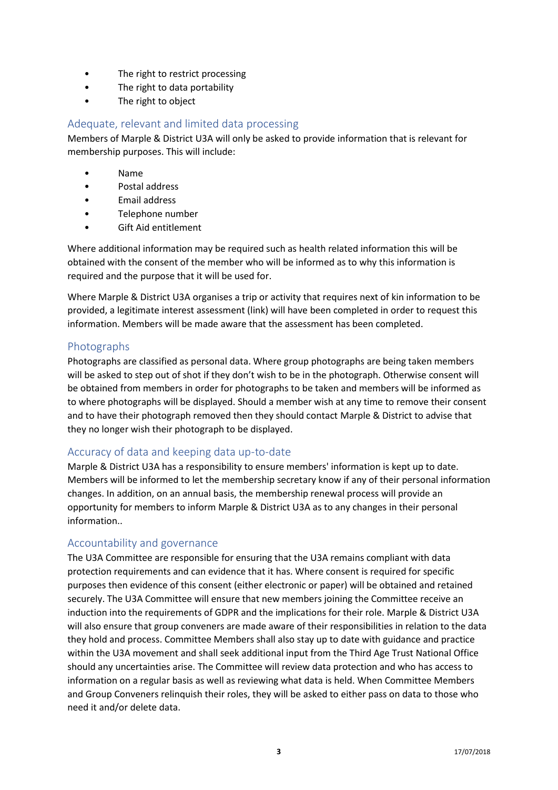- The right to restrict processing
- The right to data portability
- The right to object

# Adequate, relevant and limited data processing

Members of Marple & District U3A will only be asked to provide information that is relevant for membership purposes. This will include:

- Name
- Postal address
- Email address
- Telephone number
- Gift Aid entitlement

Where additional information may be required such as health related information this will be obtained with the consent of the member who will be informed as to why this information is required and the purpose that it will be used for.

Where Marple & District U3A organises a trip or activity that requires next of kin information to be provided, a legitimate interest assessment (link) will have been completed in order to request this information. Members will be made aware that the assessment has been completed.

#### Photographs

Photographs are classified as personal data. Where group photographs are being taken members will be asked to step out of shot if they don't wish to be in the photograph. Otherwise consent will be obtained from members in order for photographs to be taken and members will be informed as to where photographs will be displayed. Should a member wish at any time to remove their consent and to have their photograph removed then they should contact Marple & District to advise that they no longer wish their photograph to be displayed.

## Accuracy of data and keeping data up-to-date

Marple & District U3A has a responsibility to ensure members' information is kept up to date. Members will be informed to let the membership secretary know if any of their personal information changes. In addition, on an annual basis, the membership renewal process will provide an opportunity for members to inform Marple & District U3A as to any changes in their personal information..

## Accountability and governance

The U3A Committee are responsible for ensuring that the U3A remains compliant with data protection requirements and can evidence that it has. Where consent is required for specific purposes then evidence of this consent (either electronic or paper) will be obtained and retained securely. The U3A Committee will ensure that new members joining the Committee receive an induction into the requirements of GDPR and the implications for their role. Marple & District U3A will also ensure that group conveners are made aware of their responsibilities in relation to the data they hold and process. Committee Members shall also stay up to date with guidance and practice within the U3A movement and shall seek additional input from the Third Age Trust National Office should any uncertainties arise. The Committee will review data protection and who has access to information on a regular basis as well as reviewing what data is held. When Committee Members and Group Conveners relinquish their roles, they will be asked to either pass on data to those who need it and/or delete data.